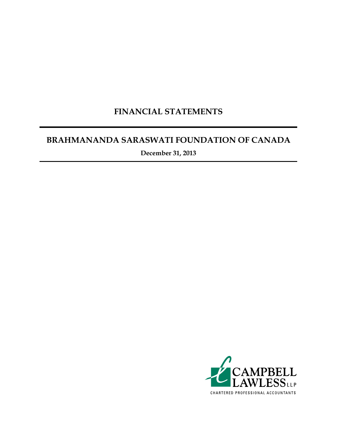### **FINANCIAL STATEMENTS**

### **BRAHMANANDA SARASWATI FOUNDATION OF CANADA**

**December 31, 2013**

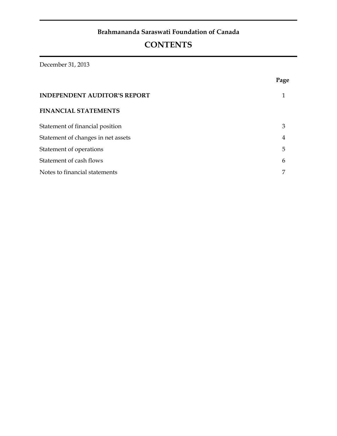### **Brahmananda Saraswati Foundation of Canada**

## **CONTENTS**

December 31, 2013

|                                     | Page |
|-------------------------------------|------|
| <b>INDEPENDENT AUDITOR'S REPORT</b> |      |
| <b>FINANCIAL STATEMENTS</b>         |      |
| Statement of financial position     | 3    |
| Statement of changes in net assets  | 4    |
| Statement of operations             | 5    |
| Statement of cash flows             | 6    |
| Notes to financial statements       |      |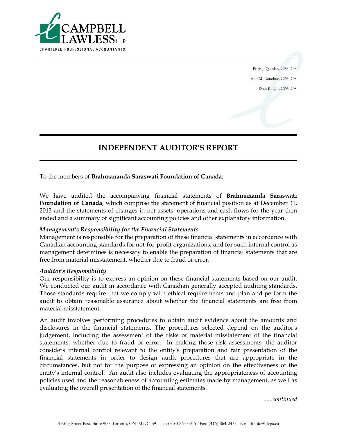

Brian J. Quinlan, CPA, CA Ann M. Donohue, CPA, CA Ryan Knight, CPA, CA

### **INDEPENDENT AUDITOR'S REPORT**

To the members of **Brahmananda Saraswati Foundation of Canada**:

We have audited the accompanying financial statements of **Brahmananda Saraswati Foundation of Canada**, which comprise the statement of financial position as at December 31, 2013 and the statements of changes in net assets, operations and cash flows for the year then ended and a summary of significant accounting policies and other explanatory information.

### *Management's Responsibility for the Financial Statements*

Management is responsible for the preparation of these financial statements in accordance with Canadian accounting standards for not-for-profit organizations, and for such internal control as management determines is necessary to enable the preparation of financial statements that are free from material misstatement, whether due to fraud or error.

#### *Auditor's Responsibility*

Our responsibility is to express an opinion on these financial statements based on our audit. We conducted our audit in accordance with Canadian generally accepted auditing standards. Those standards require that we comply with ethical requirements and plan and perform the audit to obtain reasonable assurance about whether the financial statements are free from material misstatement.

An audit involves performing procedures to obtain audit evidence about the amounts and disclosures in the financial statements. The procedures selected depend on the auditor's judgement, including the assessment of the risks of material misstatement of the financial statements, whether due to fraud or error. In making those risk assessments, the auditor considers internal control relevant to the entity's preparation and fair presentation of the financial statements in order to design audit procedures that are appropriate in the circumstances, but not for the purpose of expressing an opinion on the effectiveness of the entity's internal control. An audit also includes evaluating the appropriateness of accounting policies used and the reasonableness of accounting estimates made by management, as well as evaluating the overall presentation of the financial statements.

*......continued*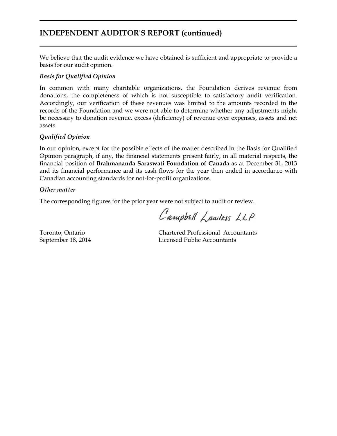### **INDEPENDENT AUDITOR'S REPORT (continued)**

We believe that the audit evidence we have obtained is sufficient and appropriate to provide a basis for our audit opinion.

### *Basis for Qualified Opinion*

In common with many charitable organizations, the Foundation derives revenue from donations, the completeness of which is not susceptible to satisfactory audit verification. Accordingly, our verification of these revenues was limited to the amounts recorded in the records of the Foundation and we were not able to determine whether any adjustments might be necessary to donation revenue, excess (deficiency) of revenue over expenses, assets and net assets.

### *Qualified Opinion*

In our opinion, except for the possible effects of the matter described in the Basis for Qualified Opinion paragraph, if any, the financial statements present fairly, in all material respects, the financial position of **Brahmananda Saraswati Foundation of Canada** as at December 31, 2013 and its financial performance and its cash flows for the year then ended in accordance with Canadian accounting standards for not-for-profit organizations.

### *Other matter*

The corresponding figures for the prior year were not subject to audit or review.

Campbell Lawless LLP

Toronto, Ontario Chartered Professional Accountants September 18, 2014 Licensed Public Accountants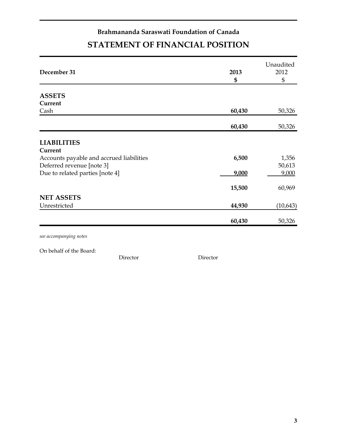## **Brahmananda Saraswati Foundation of Canada STATEMENT OF FINANCIAL POSITION**

| 2013<br>\$ | Unaudited<br>2012<br>\$  |
|------------|--------------------------|
|            |                          |
|            |                          |
|            |                          |
|            | 50,326                   |
| 60,430     | 50,326                   |
|            |                          |
|            |                          |
|            | 1,356                    |
|            | 50,613                   |
|            | 9,000                    |
|            |                          |
| 15,500     | 60,969                   |
|            |                          |
| 44,930     | (10, 643)                |
| 60,430     | 50,326                   |
|            | 60,430<br>6,500<br>9,000 |

*see accompanying notes*

On behalf of the Board:

Director Director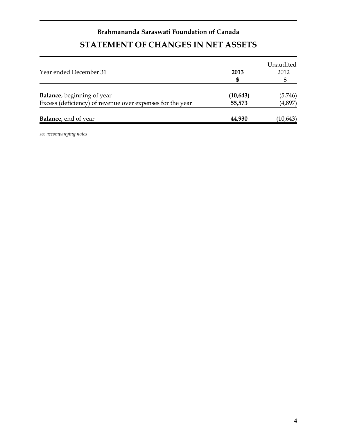# **Brahmananda Saraswati Foundation of Canada STATEMENT OF CHANGES IN NET ASSETS**

| Year ended December 31                                                                          | 2013<br>S           | Unaudited<br>2012  |
|-------------------------------------------------------------------------------------------------|---------------------|--------------------|
| <b>Balance</b> , beginning of year<br>Excess (deficiency) of revenue over expenses for the year | (10, 643)<br>55,573 | (5,746)<br>(4,897) |
| <b>Balance</b> , end of year                                                                    | 44,930              | (10, 643)          |

*see accompanying notes*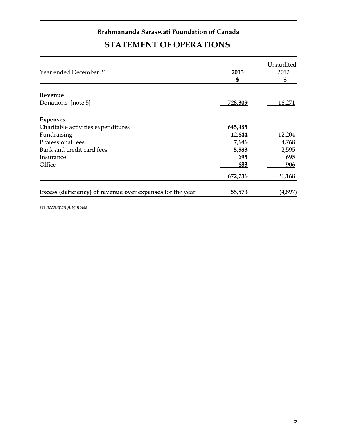## **Brahmananda Saraswati Foundation of Canada STATEMENT OF OPERATIONS**

| Year ended December 31                                    | 2013<br>\$     | Unaudited<br>2012<br>\$ |
|-----------------------------------------------------------|----------------|-------------------------|
| Revenue                                                   |                |                         |
| Donations [note 5]                                        | <u>728,309</u> | 16,271                  |
| <b>Expenses</b>                                           |                |                         |
| Charitable activities expenditures                        | 645,485        |                         |
| Fundraising                                               | 12,644         | 12,204                  |
| Professional fees                                         | 7,646          | 4,768                   |
| Bank and credit card fees                                 | 5,583          | 2,595                   |
| Insurance                                                 | 695            | 695                     |
| Office                                                    | 683            | 906                     |
|                                                           | 672,736        | 21,168                  |
| Excess (deficiency) of revenue over expenses for the year | 55,573         | (4,897                  |

*see accompanying notes*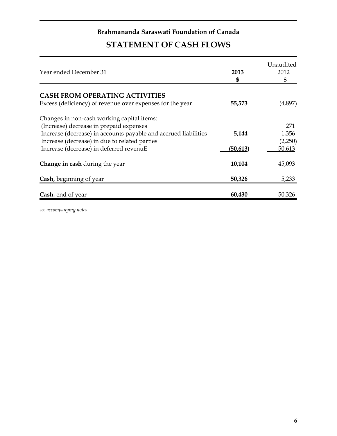## **Brahmananda Saraswati Foundation of Canada STATEMENT OF CASH FLOWS**

| Year ended December 31                                          | 2013<br>\$ | Unaudited<br>2012<br>\$ |
|-----------------------------------------------------------------|------------|-------------------------|
| <b>CASH FROM OPERATING ACTIVITIES</b>                           |            |                         |
| Excess (deficiency) of revenue over expenses for the year       | 55,573     | (4,897)                 |
| Changes in non-cash working capital items:                      |            |                         |
| (Increase) decrease in prepaid expenses                         |            | 271                     |
| Increase (decrease) in accounts payable and accrued liabilities | 5,144      | 1,356                   |
| Increase (decrease) in due to related parties                   |            | (2,250)                 |
| Increase (decrease) in deferred revenuE                         | (50,613)   | 50,613                  |
| Change in cash during the year                                  | 10,104     | 45,093                  |
| Cash, beginning of year                                         | 50,326     | 5,233                   |
| Cash, end of year                                               | 60,430     | 50,326                  |

*see accompanying notes*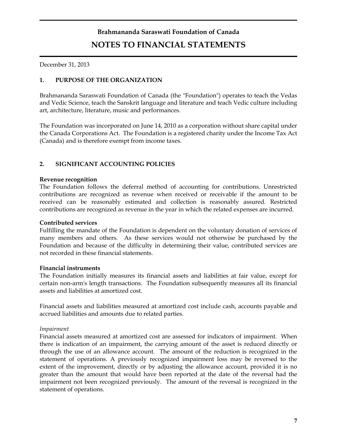# **Brahmananda Saraswati Foundation of Canada NOTES TO FINANCIAL STATEMENTS**

December 31, 2013

### **1. PURPOSE OF THE ORGANIZATION**

Brahmananda Saraswati Foundation of Canada (the "Foundation") operates to teach the Vedas and Vedic Science, teach the Sanskrit language and literature and teach Vedic culture including art, architecture, literature, music and performances.

The Foundation was incorporated on June 14, 2010 as a corporation without share capital under the Canada Corporations Act. The Foundation is a registered charity under the Income Tax Act (Canada) and is therefore exempt from income taxes.

### **2. SIGNIFICANT ACCOUNTING POLICIES**

### **Revenue recognition**

The Foundation follows the deferral method of accounting for contributions. Unrestricted contributions are recognized as revenue when received or receivable if the amount to be received can be reasonably estimated and collection is reasonably assured. Restricted contributions are recognized as revenue in the year in which the related expenses are incurred.

### **Contributed services**

Fulfilling the mandate of the Foundation is dependent on the voluntary donation of services of many members and others. As these services would not otherwise be purchased by the Foundation and because of the difficulty in determining their value, contributed services are not recorded in these financial statements.

### **Financial instruments**

The Foundation initially measures its financial assets and liabilities at fair value, except for certain non-arm's length transactions. The Foundation subsequently measures all its financial assets and liabilities at amortized cost.

Financial assets and liabilities measured at amortized cost include cash, accounts payable and accrued liabilities and amounts due to related parties.

### *Impairment*

Financial assets measured at amortized cost are assessed for indicators of impairment. When there is indication of an impairment, the carrying amount of the asset is reduced directly or through the use of an allowance account. The amount of the reduction is recognized in the statement of operations. A previously recognized impairment loss may be reversed to the extent of the improvement, directly or by adjusting the allowance account, provided it is no greater than the amount that would have been reported at the date of the reversal had the impairment not been recognized previously. The amount of the reversal is recognized in the statement of operations.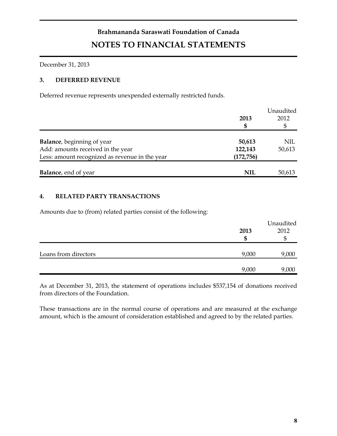# **Brahmananda Saraswati Foundation of Canada NOTES TO FINANCIAL STATEMENTS**

December 31, 2013

### **3. DEFERRED REVENUE**

Deferred revenue represents unexpended externally restricted funds.

|                                                | 2013       | Unaudited<br>2012 |
|------------------------------------------------|------------|-------------------|
|                                                | \$         |                   |
| <b>Balance</b> , beginning of year             | 50,613     | NIL               |
| Add: amounts received in the year              | 122,143    | 50,613            |
| Less: amount recognized as revenue in the year | (172, 756) |                   |
|                                                |            |                   |
| <b>Balance</b> , end of year                   | <b>NIL</b> | 50,613            |

### **4. RELATED PARTY TRANSACTIONS**

Amounts due to (from) related parties consist of the following:

|                      | 2013<br>£6 | Unaudited<br>2012 |
|----------------------|------------|-------------------|
| Loans from directors | 9,000      | 9,000             |
|                      | 9,000      | 9,000             |

As at December 31, 2013, the statement of operations includes \$537,154 of donations received from directors of the Foundation.

These transactions are in the normal course of operations and are measured at the exchange amount, which is the amount of consideration established and agreed to by the related parties.